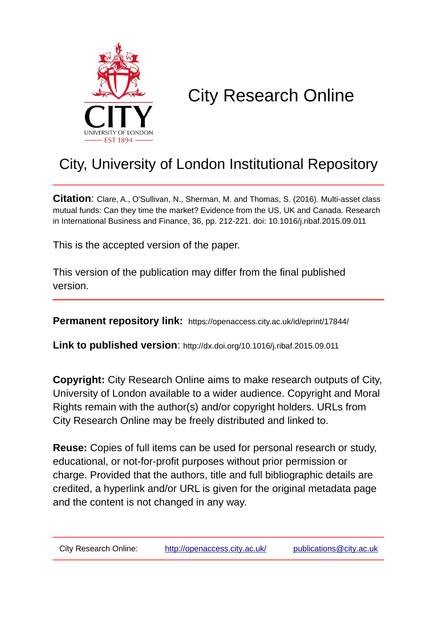

# City Research Online

# City, University of London Institutional Repository

**Citation**: Clare, A., O'Sullivan, N., Sherman, M. and Thomas, S. (2016). Multi-asset class mutual funds: Can they time the market? Evidence from the US, UK and Canada. Research in International Business and Finance, 36, pp. 212-221. doi: 10.1016/j.ribaf.2015.09.011

This is the accepted version of the paper.

This version of the publication may differ from the final published version.

**Permanent repository link:** https://openaccess.city.ac.uk/id/eprint/17844/

**Link to published version**: http://dx.doi.org/10.1016/j.ribaf.2015.09.011

**Copyright:** City Research Online aims to make research outputs of City, University of London available to a wider audience. Copyright and Moral Rights remain with the author(s) and/or copyright holders. URLs from City Research Online may be freely distributed and linked to.

**Reuse:** Copies of full items can be used for personal research or study, educational, or not-for-profit purposes without prior permission or charge. Provided that the authors, title and full bibliographic details are credited, a hyperlink and/or URL is given for the original metadata page and the content is not changed in any way.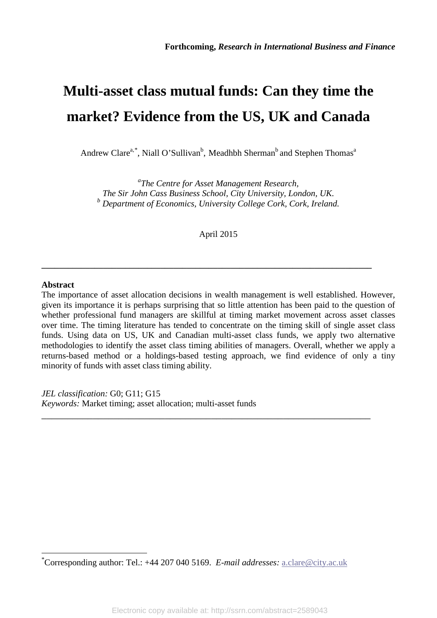# **Multi-asset class mutual funds: Can they time the market? Evidence from the US, UK and Canada**

Andrew Clare<sup>a,[\\*](#page-1-0)</sup>, Niall O'Sullivan<sup>b</sup>, Meadhbh Sherman<sup>b</sup> and Stephen Thomas<sup>a</sup>

*a The Centre for Asset Management Research, The Sir John Cass Business School, City University, London, UK. <sup>b</sup> Department of Economics, University College Cork, Cork, Ireland.*

April 2015

**\_\_\_\_\_\_\_\_\_\_\_\_\_\_\_\_\_\_\_\_\_\_\_\_\_\_\_\_\_\_\_\_\_\_\_\_\_\_\_\_\_\_\_\_\_\_\_\_\_\_\_\_\_\_\_\_\_\_\_\_\_\_\_\_\_\_\_\_\_\_\_\_\_\_\_**

# **Abstract**

-

The importance of asset allocation decisions in wealth management is well established. However, given its importance it is perhaps surprising that so little attention has been paid to the question of whether professional fund managers are skillful at timing market movement across asset classes over time. The timing literature has tended to concentrate on the timing skill of single asset class funds. Using data on US, UK and Canadian multi-asset class funds, we apply two alternative methodologies to identify the asset class timing abilities of managers. Overall, whether we apply a returns-based method or a holdings-based testing approach, we find evidence of only a tiny minority of funds with asset class timing ability.

\_\_\_\_\_\_\_\_\_\_\_\_\_\_\_\_\_\_\_\_\_\_\_\_\_\_\_\_\_\_\_\_\_\_\_\_\_\_\_\_\_\_\_\_\_\_\_\_\_\_\_\_\_\_\_\_\_\_\_\_\_\_\_\_

*JEL classification:* G0; G11; G15 *Keywords:* Market timing; asset allocation; multi-asset funds

<span id="page-1-0"></span><sup>\*</sup> Corresponding author: Tel.: +44 207 040 5169. *E-mail addresses:* [a.clare@city.ac.uk](mailto:a.clare@city.ac.uk)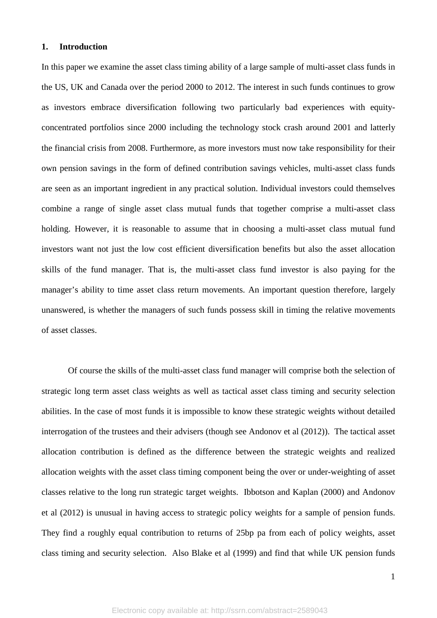# **1. Introduction**

In this paper we examine the asset class timing ability of a large sample of multi-asset class funds in the US, UK and Canada over the period 2000 to 2012. The interest in such funds continues to grow as investors embrace diversification following two particularly bad experiences with equityconcentrated portfolios since 2000 including the technology stock crash around 2001 and latterly the financial crisis from 2008. Furthermore, as more investors must now take responsibility for their own pension savings in the form of defined contribution savings vehicles, multi-asset class funds are seen as an important ingredient in any practical solution. Individual investors could themselves combine a range of single asset class mutual funds that together comprise a multi-asset class holding. However, it is reasonable to assume that in choosing a multi-asset class mutual fund investors want not just the low cost efficient diversification benefits but also the asset allocation skills of the fund manager. That is, the multi-asset class fund investor is also paying for the manager's ability to time asset class return movements. An important question therefore, largely unanswered, is whether the managers of such funds possess skill in timing the relative movements of asset classes.

Of course the skills of the multi-asset class fund manager will comprise both the selection of strategic long term asset class weights as well as tactical asset class timing and security selection abilities. In the case of most funds it is impossible to know these strategic weights without detailed interrogation of the trustees and their advisers (though see Andonov et al (2012)). The tactical asset allocation contribution is defined as the difference between the strategic weights and realized allocation weights with the asset class timing component being the over or under-weighting of asset classes relative to the long run strategic target weights. Ibbotson and Kaplan (2000) and Andonov et al (2012) is unusual in having access to strategic policy weights for a sample of pension funds. They find a roughly equal contribution to returns of 25bp pa from each of policy weights, asset class timing and security selection. Also Blake et al (1999) and find that while UK pension funds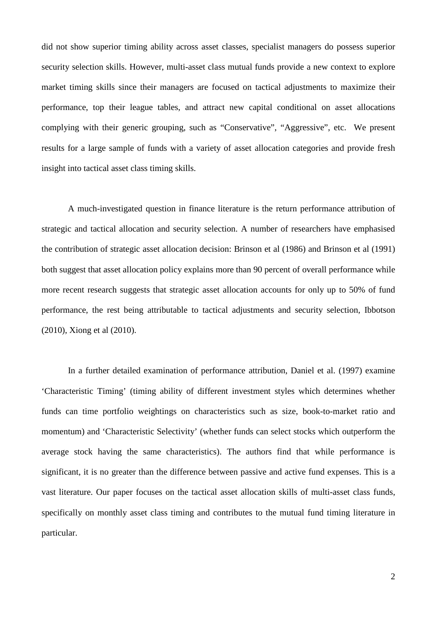did not show superior timing ability across asset classes, specialist managers do possess superior security selection skills. However, multi-asset class mutual funds provide a new context to explore market timing skills since their managers are focused on tactical adjustments to maximize their performance, top their league tables, and attract new capital conditional on asset allocations complying with their generic grouping, such as "Conservative", "Aggressive", etc. We present results for a large sample of funds with a variety of asset allocation categories and provide fresh insight into tactical asset class timing skills.

A much-investigated question in finance literature is the return performance attribution of strategic and tactical allocation and security selection. A number of researchers have emphasised the contribution of strategic asset allocation decision: Brinson et al (1986) and Brinson et al (1991) both suggest that asset allocation policy explains more than 90 percent of overall performance while more recent research suggests that strategic asset allocation accounts for only up to 50% of fund performance, the rest being attributable to tactical adjustments and security selection, Ibbotson (2010), Xiong et al (2010).

In a further detailed examination of performance attribution, Daniel et al. (1997) examine 'Characteristic Timing' (timing ability of different investment styles which determines whether funds can time portfolio weightings on characteristics such as size, book-to-market ratio and momentum) and 'Characteristic Selectivity' (whether funds can select stocks which outperform the average stock having the same characteristics). The authors find that while performance is significant, it is no greater than the difference between passive and active fund expenses. This is a vast literature. Our paper focuses on the tactical asset allocation skills of multi-asset class funds, specifically on monthly asset class timing and contributes to the mutual fund timing literature in particular.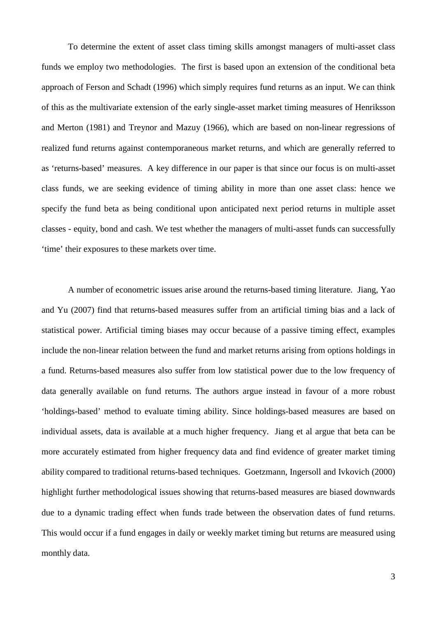To determine the extent of asset class timing skills amongst managers of multi-asset class funds we employ two methodologies. The first is based upon an extension of the conditional beta approach of Ferson and Schadt (1996) which simply requires fund returns as an input. We can think of this as the multivariate extension of the early single-asset market timing measures of Henriksson and Merton (1981) and Treynor and Mazuy (1966), which are based on non-linear regressions of realized fund returns against contemporaneous market returns, and which are generally referred to as 'returns-based' measures. A key difference in our paper is that since our focus is on multi-asset class funds, we are seeking evidence of timing ability in more than one asset class: hence we specify the fund beta as being conditional upon anticipated next period returns in multiple asset classes - equity, bond and cash. We test whether the managers of multi-asset funds can successfully 'time' their exposures to these markets over time.

A number of econometric issues arise around the returns-based timing literature. Jiang, Yao and Yu (2007) find that returns-based measures suffer from an artificial timing bias and a lack of statistical power. Artificial timing biases may occur because of a passive timing effect, examples include the non-linear relation between the fund and market returns arising from options holdings in a fund. Returns-based measures also suffer from low statistical power due to the low frequency of data generally available on fund returns. The authors argue instead in favour of a more robust 'holdings-based' method to evaluate timing ability. Since holdings-based measures are based on individual assets, data is available at a much higher frequency. Jiang et al argue that beta can be more accurately estimated from higher frequency data and find evidence of greater market timing ability compared to traditional returns-based techniques. Goetzmann, Ingersoll and Ivkovich (2000) highlight further methodological issues showing that returns-based measures are biased downwards due to a dynamic trading effect when funds trade between the observation dates of fund returns. This would occur if a fund engages in daily or weekly market timing but returns are measured using monthly data.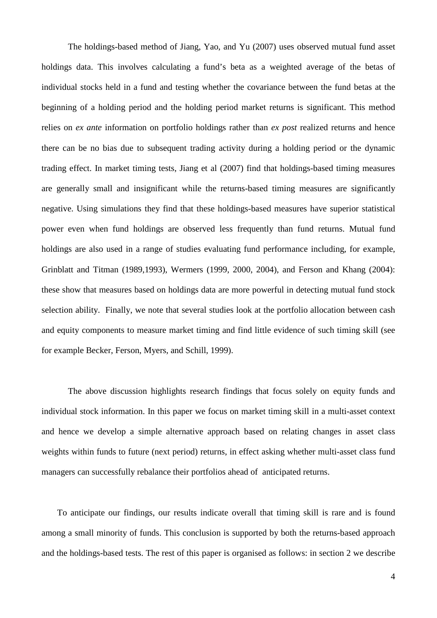The holdings-based method of Jiang, Yao, and Yu (2007) uses observed mutual fund asset holdings data. This involves calculating a fund's beta as a weighted average of the betas of individual stocks held in a fund and testing whether the covariance between the fund betas at the beginning of a holding period and the holding period market returns is significant. This method relies on *ex ante* information on portfolio holdings rather than *ex post* realized returns and hence there can be no bias due to subsequent trading activity during a holding period or the dynamic trading effect. In market timing tests, Jiang et al (2007) find that holdings-based timing measures are generally small and insignificant while the returns-based timing measures are significantly negative. Using simulations they find that these holdings-based measures have superior statistical power even when fund holdings are observed less frequently than fund returns. Mutual fund holdings are also used in a range of studies evaluating fund performance including, for example, Grinblatt and Titman (1989,1993), Wermers (1999, 2000, 2004), and Ferson and Khang (2004): these show that measures based on holdings data are more powerful in detecting mutual fund stock selection ability. Finally, we note that several studies look at the portfolio allocation between cash and equity components to measure market timing and find little evidence of such timing skill (see for example Becker, Ferson, Myers, and Schill, 1999).

The above discussion highlights research findings that focus solely on equity funds and individual stock information. In this paper we focus on market timing skill in a multi-asset context and hence we develop a simple alternative approach based on relating changes in asset class weights within funds to future (next period) returns, in effect asking whether multi-asset class fund managers can successfully rebalance their portfolios ahead of anticipated returns.

To anticipate our findings, our results indicate overall that timing skill is rare and is found among a small minority of funds. This conclusion is supported by both the returns-based approach and the holdings-based tests. The rest of this paper is organised as follows: in section 2 we describe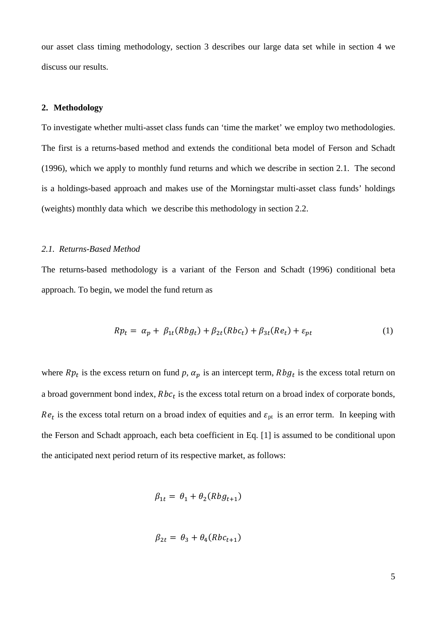our asset class timing methodology, section 3 describes our large data set while in section 4 we discuss our results.

#### **2. Methodology**

To investigate whether multi-asset class funds can 'time the market' we employ two methodologies. The first is a returns-based method and extends the conditional beta model of Ferson and Schadt (1996), which we apply to monthly fund returns and which we describe in section 2.1. The second is a holdings-based approach and makes use of the Morningstar multi-asset class funds' holdings (weights) monthly data which we describe this methodology in section 2.2.

#### *2.1. Returns-Based Method*

The returns-based methodology is a variant of the Ferson and Schadt (1996) conditional beta approach. To begin, we model the fund return as

$$
Rp_t = \alpha_p + \beta_{1t}(Rbg_t) + \beta_{2t}(Rbc_t) + \beta_{3t}(Re_t) + \varepsilon_{pt}
$$
\n(1)

where  $Rp_t$  is the excess return on fund p,  $\alpha_p$  is an intercept term,  $Rbg_t$  is the excess total return on a broad government bond index,  $Rbc_t$  is the excess total return on a broad index of corporate bonds,  $Re<sub>t</sub>$  is the excess total return on a broad index of equities and  $\varepsilon<sub>pt</sub>$  is an error term. In keeping with the Ferson and Schadt approach, each beta coefficient in Eq. [1] is assumed to be conditional upon the anticipated next period return of its respective market, as follows:

$$
\beta_{1t} = \theta_1 + \theta_2 (Rbg_{t+1})
$$

$$
\beta_{2t} = \theta_3 + \theta_4(Rbc_{t+1})
$$

5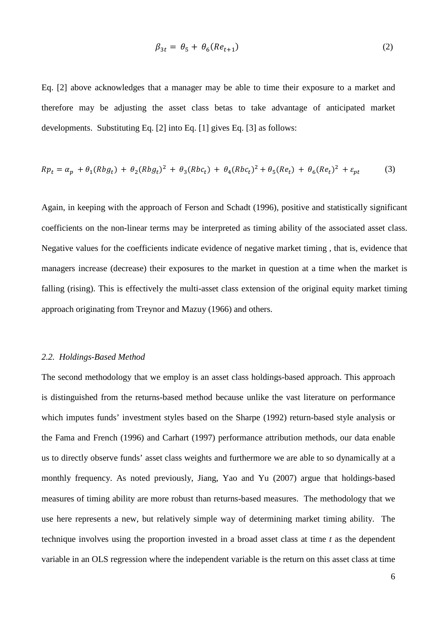$$
\beta_{3t} = \theta_5 + \theta_6(Re_{t+1})
$$
\n(2)

Eq. [2] above acknowledges that a manager may be able to time their exposure to a market and therefore may be adjusting the asset class betas to take advantage of anticipated market developments. Substituting Eq. [2] into Eq. [1] gives Eq. [3] as follows:

$$
Rp_t = \alpha_p + \theta_1(Rbg_t) + \theta_2(Rbg_t)^2 + \theta_3(Rbc_t) + \theta_4(Rbc_t)^2 + \theta_5(Re_t) + \theta_6(Re_t)^2 + \varepsilon_{pt}
$$
 (3)

Again, in keeping with the approach of Ferson and Schadt (1996), positive and statistically significant coefficients on the non-linear terms may be interpreted as timing ability of the associated asset class. Negative values for the coefficients indicate evidence of negative market timing , that is, evidence that managers increase (decrease) their exposures to the market in question at a time when the market is falling (rising). This is effectively the multi-asset class extension of the original equity market timing approach originating from Treynor and Mazuy (1966) and others.

# *2.2. Holdings-Based Method*

The second methodology that we employ is an asset class holdings-based approach. This approach is distinguished from the returns-based method because unlike the vast literature on performance which imputes funds' investment styles based on the Sharpe (1992) return-based style analysis or the Fama and French (1996) and Carhart (1997) performance attribution methods, our data enable us to directly observe funds' asset class weights and furthermore we are able to so dynamically at a monthly frequency. As noted previously, Jiang, Yao and Yu (2007) argue that holdings-based measures of timing ability are more robust than returns-based measures. The methodology that we use here represents a new, but relatively simple way of determining market timing ability. The technique involves using the proportion invested in a broad asset class at time *t* as the dependent variable in an OLS regression where the independent variable is the return on this asset class at time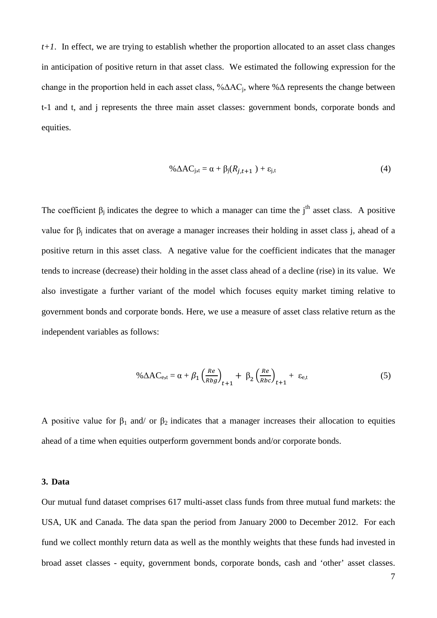*t+1*. In effect, we are trying to establish whether the proportion allocated to an asset class changes in anticipation of positive return in that asset class. We estimated the following expression for the change in the proportion held in each asset class,  $\% \Delta AC_i$ , where  $\% \Delta$  represents the change between t-1 and t, and j represents the three main asset classes: government bonds, corporate bonds and equities.

$$
\% \Delta AC_{j,t} = \alpha + \beta_j (R_{j,t+1}) + \varepsilon_{j,t} \tag{4}
$$

The coefficient  $\beta_j$  indicates the degree to which a manager can time the j<sup>th</sup> asset class. A positive value for  $β_i$  indicates that on average a manager increases their holding in asset class *i*, ahead of a positive return in this asset class. A negative value for the coefficient indicates that the manager tends to increase (decrease) their holding in the asset class ahead of a decline (rise) in its value. We also investigate a further variant of the model which focuses equity market timing relative to government bonds and corporate bonds. Here, we use a measure of asset class relative return as the independent variables as follows:

$$
\% \triangle AC_{e,t} = \alpha + \beta_1 \left(\frac{Re}{Rbg}\right)_{t+1} + \beta_2 \left(\frac{Re}{Rbc}\right)_{t+1} + \varepsilon_{e,t} \tag{5}
$$

A positive value for  $\beta_1$  and/ or  $\beta_2$  indicates that a manager increases their allocation to equities ahead of a time when equities outperform government bonds and/or corporate bonds.

#### **3. Data**

Our mutual fund dataset comprises 617 multi-asset class funds from three mutual fund markets: the USA, UK and Canada. The data span the period from January 2000 to December 2012. For each fund we collect monthly return data as well as the monthly weights that these funds had invested in broad asset classes - equity, government bonds, corporate bonds, cash and 'other' asset classes.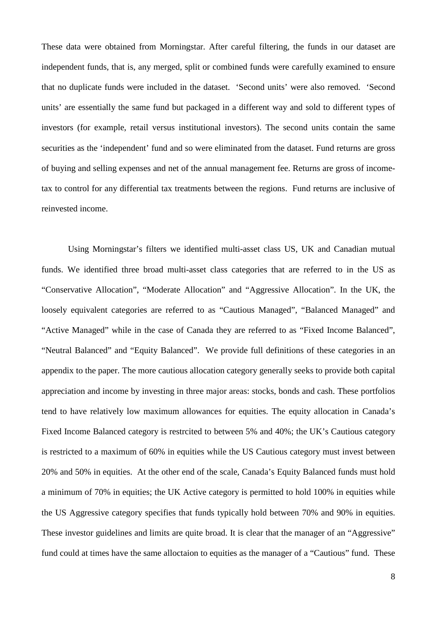These data were obtained from Morningstar. After careful filtering, the funds in our dataset are independent funds, that is, any merged, split or combined funds were carefully examined to ensure that no duplicate funds were included in the dataset. 'Second units' were also removed. 'Second units' are essentially the same fund but packaged in a different way and sold to different types of investors (for example, retail versus institutional investors). The second units contain the same securities as the 'independent' fund and so were eliminated from the dataset. Fund returns are gross of buying and selling expenses and net of the annual management fee. Returns are gross of incometax to control for any differential tax treatments between the regions. Fund returns are inclusive of reinvested income.

Using Morningstar's filters we identified multi-asset class US, UK and Canadian mutual funds. We identified three broad multi-asset class categories that are referred to in the US as "Conservative Allocation", "Moderate Allocation" and "Aggressive Allocation". In the UK, the loosely equivalent categories are referred to as "Cautious Managed", "Balanced Managed" and "Active Managed" while in the case of Canada they are referred to as "Fixed Income Balanced", "Neutral Balanced" and "Equity Balanced". We provide full definitions of these categories in an appendix to the paper. The more cautious allocation category generally seeks to provide both capital appreciation and income by investing in three major areas: stocks, bonds and cash. These portfolios tend to have relatively low maximum allowances for equities. The equity allocation in Canada's Fixed Income Balanced category is restrcited to between 5% and 40%; the UK's Cautious category is restricted to a maximum of 60% in equities while the US Cautious category must invest between 20% and 50% in equities. At the other end of the scale, Canada's Equity Balanced funds must hold a minimum of 70% in equities; the UK Active category is permitted to hold 100% in equities while the US Aggressive category specifies that funds typically hold between 70% and 90% in equities. These investor guidelines and limits are quite broad. It is clear that the manager of an "Aggressive" fund could at times have the same alloctaion to equities as the manager of a "Cautious" fund. These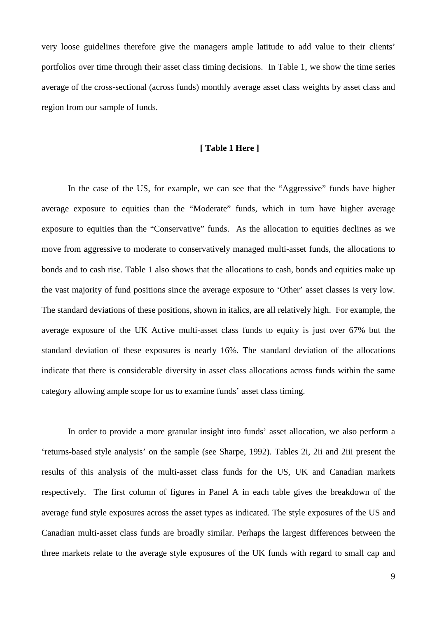very loose guidelines therefore give the managers ample latitude to add value to their clients' portfolios over time through their asset class timing decisions. In Table 1, we show the time series average of the cross-sectional (across funds) monthly average asset class weights by asset class and region from our sample of funds.

#### **[ Table 1 Here ]**

In the case of the US, for example, we can see that the "Aggressive" funds have higher average exposure to equities than the "Moderate" funds, which in turn have higher average exposure to equities than the "Conservative" funds. As the allocation to equities declines as we move from aggressive to moderate to conservatively managed multi-asset funds, the allocations to bonds and to cash rise. Table 1 also shows that the allocations to cash, bonds and equities make up the vast majority of fund positions since the average exposure to 'Other' asset classes is very low. The standard deviations of these positions, shown in italics, are all relatively high. For example, the average exposure of the UK Active multi-asset class funds to equity is just over 67% but the standard deviation of these exposures is nearly 16%. The standard deviation of the allocations indicate that there is considerable diversity in asset class allocations across funds within the same category allowing ample scope for us to examine funds' asset class timing.

In order to provide a more granular insight into funds' asset allocation, we also perform a 'returns-based style analysis' on the sample (see Sharpe, 1992). Tables 2i, 2ii and 2iii present the results of this analysis of the multi-asset class funds for the US, UK and Canadian markets respectively. The first column of figures in Panel A in each table gives the breakdown of the average fund style exposures across the asset types as indicated. The style exposures of the US and Canadian multi-asset class funds are broadly similar. Perhaps the largest differences between the three markets relate to the average style exposures of the UK funds with regard to small cap and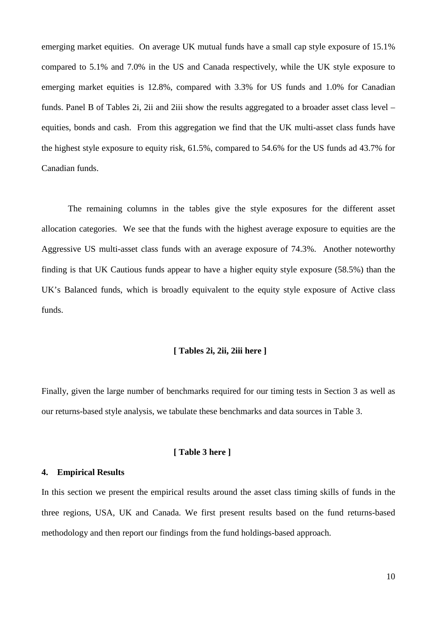emerging market equities. On average UK mutual funds have a small cap style exposure of 15.1% compared to 5.1% and 7.0% in the US and Canada respectively, while the UK style exposure to emerging market equities is 12.8%, compared with 3.3% for US funds and 1.0% for Canadian funds. Panel B of Tables 2i, 2ii and 2iii show the results aggregated to a broader asset class level – equities, bonds and cash. From this aggregation we find that the UK multi-asset class funds have the highest style exposure to equity risk, 61.5%, compared to 54.6% for the US funds ad 43.7% for Canadian funds.

The remaining columns in the tables give the style exposures for the different asset allocation categories. We see that the funds with the highest average exposure to equities are the Aggressive US multi-asset class funds with an average exposure of 74.3%. Another noteworthy finding is that UK Cautious funds appear to have a higher equity style exposure (58.5%) than the UK's Balanced funds, which is broadly equivalent to the equity style exposure of Active class funds.

# **[ Tables 2i, 2ii, 2iii here ]**

Finally, given the large number of benchmarks required for our timing tests in Section 3 as well as our returns-based style analysis, we tabulate these benchmarks and data sources in Table 3.

#### **[ Table 3 here ]**

#### **4. Empirical Results**

In this section we present the empirical results around the asset class timing skills of funds in the three regions, USA, UK and Canada. We first present results based on the fund returns-based methodology and then report our findings from the fund holdings-based approach.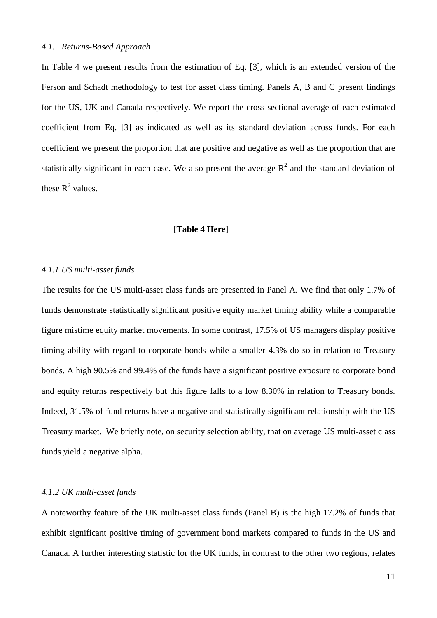#### *4.1. Returns-Based Approach*

In Table 4 we present results from the estimation of Eq. [3], which is an extended version of the Ferson and Schadt methodology to test for asset class timing. Panels A, B and C present findings for the US, UK and Canada respectively. We report the cross-sectional average of each estimated coefficient from Eq. [3] as indicated as well as its standard deviation across funds. For each coefficient we present the proportion that are positive and negative as well as the proportion that are statistically significant in each case. We also present the average  $R^2$  and the standard deviation of these  $R^2$  values.

# **[Table 4 Here]**

#### *4.1.1 US multi-asset funds*

The results for the US multi-asset class funds are presented in Panel A. We find that only 1.7% of funds demonstrate statistically significant positive equity market timing ability while a comparable figure mistime equity market movements. In some contrast, 17.5% of US managers display positive timing ability with regard to corporate bonds while a smaller 4.3% do so in relation to Treasury bonds. A high 90.5% and 99.4% of the funds have a significant positive exposure to corporate bond and equity returns respectively but this figure falls to a low 8.30% in relation to Treasury bonds. Indeed, 31.5% of fund returns have a negative and statistically significant relationship with the US Treasury market. We briefly note, on security selection ability, that on average US multi-asset class funds yield a negative alpha.

### *4.1.2 UK multi-asset funds*

A noteworthy feature of the UK multi-asset class funds (Panel B) is the high 17.2% of funds that exhibit significant positive timing of government bond markets compared to funds in the US and Canada. A further interesting statistic for the UK funds, in contrast to the other two regions, relates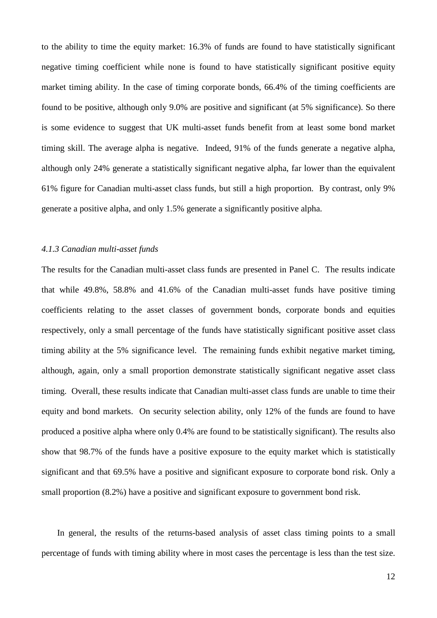to the ability to time the equity market: 16.3% of funds are found to have statistically significant negative timing coefficient while none is found to have statistically significant positive equity market timing ability. In the case of timing corporate bonds, 66.4% of the timing coefficients are found to be positive, although only 9.0% are positive and significant (at 5% significance). So there is some evidence to suggest that UK multi-asset funds benefit from at least some bond market timing skill. The average alpha is negative. Indeed, 91% of the funds generate a negative alpha, although only 24% generate a statistically significant negative alpha, far lower than the equivalent 61% figure for Canadian multi-asset class funds, but still a high proportion. By contrast, only 9% generate a positive alpha, and only 1.5% generate a significantly positive alpha.

#### *4.1.3 Canadian multi-asset funds*

The results for the Canadian multi-asset class funds are presented in Panel C. The results indicate that while 49.8%, 58.8% and 41.6% of the Canadian multi-asset funds have positive timing coefficients relating to the asset classes of government bonds, corporate bonds and equities respectively, only a small percentage of the funds have statistically significant positive asset class timing ability at the 5% significance level. The remaining funds exhibit negative market timing, although, again, only a small proportion demonstrate statistically significant negative asset class timing. Overall, these results indicate that Canadian multi-asset class funds are unable to time their equity and bond markets. On security selection ability, only 12% of the funds are found to have produced a positive alpha where only 0.4% are found to be statistically significant). The results also show that 98.7% of the funds have a positive exposure to the equity market which is statistically significant and that 69.5% have a positive and significant exposure to corporate bond risk. Only a small proportion (8.2%) have a positive and significant exposure to government bond risk.

In general, the results of the returns-based analysis of asset class timing points to a small percentage of funds with timing ability where in most cases the percentage is less than the test size.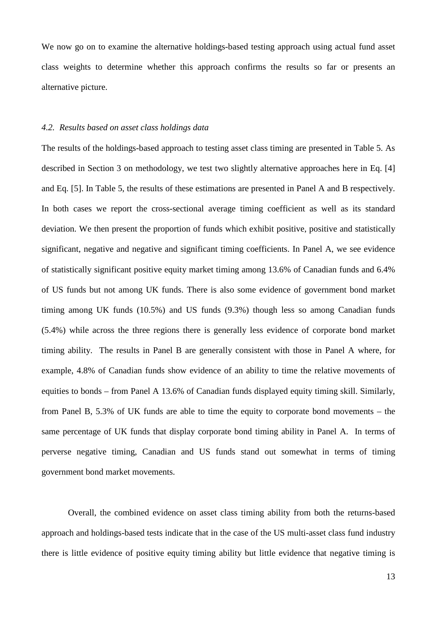We now go on to examine the alternative holdings-based testing approach using actual fund asset class weights to determine whether this approach confirms the results so far or presents an alternative picture.

#### *4.2. Results based on asset class holdings data*

The results of the holdings-based approach to testing asset class timing are presented in Table 5. As described in Section 3 on methodology, we test two slightly alternative approaches here in Eq. [4] and Eq. [5]. In Table 5, the results of these estimations are presented in Panel A and B respectively. In both cases we report the cross-sectional average timing coefficient as well as its standard deviation. We then present the proportion of funds which exhibit positive, positive and statistically significant, negative and negative and significant timing coefficients. In Panel A, we see evidence of statistically significant positive equity market timing among 13.6% of Canadian funds and 6.4% of US funds but not among UK funds. There is also some evidence of government bond market timing among UK funds (10.5%) and US funds (9.3%) though less so among Canadian funds (5.4%) while across the three regions there is generally less evidence of corporate bond market timing ability. The results in Panel B are generally consistent with those in Panel A where, for example, 4.8% of Canadian funds show evidence of an ability to time the relative movements of equities to bonds – from Panel A 13.6% of Canadian funds displayed equity timing skill. Similarly, from Panel B, 5.3% of UK funds are able to time the equity to corporate bond movements – the same percentage of UK funds that display corporate bond timing ability in Panel A. In terms of perverse negative timing, Canadian and US funds stand out somewhat in terms of timing government bond market movements.

Overall, the combined evidence on asset class timing ability from both the returns-based approach and holdings-based tests indicate that in the case of the US multi-asset class fund industry there is little evidence of positive equity timing ability but little evidence that negative timing is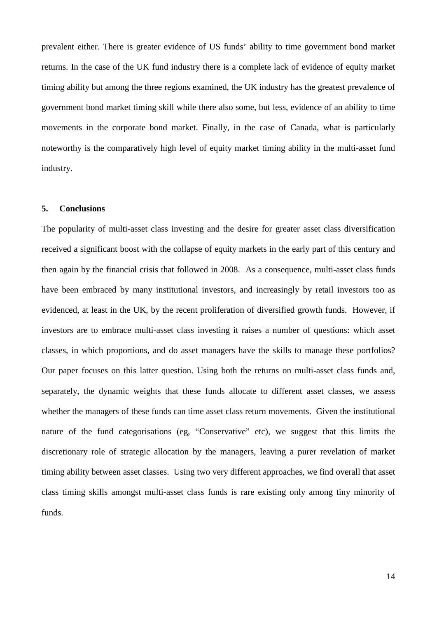prevalent either. There is greater evidence of US funds' ability to time government bond market returns. In the case of the UK fund industry there is a complete lack of evidence of equity market timing ability but among the three regions examined, the UK industry has the greatest prevalence of government bond market timing skill while there also some, but less, evidence of an ability to time movements in the corporate bond market. Finally, in the case of Canada, what is particularly noteworthy is the comparatively high level of equity market timing ability in the multi-asset fund industry.

# **5. Conclusions**

The popularity of multi-asset class investing and the desire for greater asset class diversification received a significant boost with the collapse of equity markets in the early part of this century and then again by the financial crisis that followed in 2008. As a consequence, multi-asset class funds have been embraced by many institutional investors, and increasingly by retail investors too as evidenced, at least in the UK, by the recent proliferation of diversified growth funds. However, if investors are to embrace multi-asset class investing it raises a number of questions: which asset classes, in which proportions, and do asset managers have the skills to manage these portfolios? Our paper focuses on this latter question. Using both the returns on multi-asset class funds and, separately, the dynamic weights that these funds allocate to different asset classes, we assess whether the managers of these funds can time asset class return movements. Given the institutional nature of the fund categorisations (eg, "Conservative" etc), we suggest that this limits the discretionary role of strategic allocation by the managers, leaving a purer revelation of market timing ability between asset classes. Using two very different approaches, we find overall that asset class timing skills amongst multi-asset class funds is rare existing only among tiny minority of funds.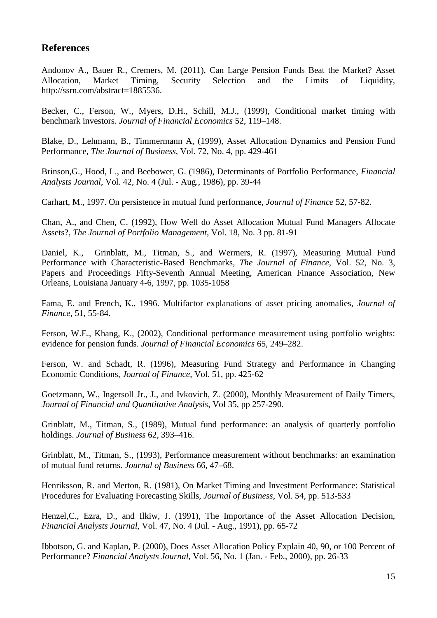# **References**

Andonov A., Bauer R., Cremers, M. (2011), Can Large Pension Funds Beat the Market? Asset Allocation, Market Timing, Security Selection and the Limits of Liquidity, [http://ssrn.com/abstract=1885536.](http://ssrn.com/abstract=665744)

Becker, C., Ferson, W., Myers, D.H., Schill, M.J., (1999), Conditional market timing with benchmark investors. *Journal of Financial Economics* 52, 119–148.

Blake, D., Lehmann, B., Timmermann A, (1999), Asset Allocation Dynamics and Pension Fund Performance, *The Journal of Business*, Vol. 72, No. 4, pp. 429-461

Brinson,G., Hood, L., and Beebower, G. (1986), Determinants of Portfolio Performance, *Financial Analysts Journal*, Vol. 42, No. 4 (Jul. - Aug., 1986), pp. 39-44

Carhart, M., 1997. On persistence in mutual fund performance, *Journal of Finance* 52, 57-82.

Chan, A., and Chen, C. (1992), How Well do Asset Allocation Mutual Fund Managers Allocate Assets?, *The Journal of Portfolio Management*, Vol. 18, No. 3 pp. 81-91

Daniel, K., Grinblatt, M., Titman, S., and Wermers, R. (1997), Measuring Mutual Fund Performance with Characteristic-Based Benchmarks, *The Journal of Finance*, Vol. 52, No. 3, Papers and Proceedings Fifty-Seventh Annual Meeting, American Finance Association, New Orleans, Louisiana January 4-6, 1997, pp. 1035-1058

Fama, E. and French, K., 1996. Multifactor explanations of asset pricing anomalies, *Journal of Finance*, 51, 55-84.

Ferson, W.E., Khang, K., (2002), Conditional performance measurement using portfolio weights: evidence for pension funds. *Journal of Financial Economics* 65, 249–282.

Ferson, W. and Schadt, R. (1996), Measuring Fund Strategy and Performance in Changing Economic Conditions, *Journal of Finance*, Vol. 51, pp. 425-62

Goetzmann, W., Ingersoll Jr., J., and Ivkovich, Z. (2000), Monthly Measurement of Daily Timers, *Journal of Financial and Quantitative Analysis*, Vol 35, pp 257-290.

Grinblatt, M., Titman, S., (1989), Mutual fund performance: an analysis of quarterly portfolio holdings. *Journal of Business* 62, 393–416.

Grinblatt, M., Titman, S., (1993), Performance measurement without benchmarks: an examination of mutual fund returns. *Journal of Business* 66, 47–68.

Henriksson, R. and Merton, R. (1981), On Market Timing and Investment Performance: Statistical Procedures for Evaluating Forecasting Skills, *Journal of Business*, Vol. 54, pp. 513-533

Henzel,C., Ezra, D., and Ilkiw, J. (1991), The Importance of the Asset Allocation Decision, *Financial Analysts Journal*, Vol. 47, No. 4 (Jul. - Aug., 1991), pp. 65-72

Ibbotson, G. and Kaplan, P. (2000), Does Asset Allocation Policy Explain 40, 90, or 100 Percent of Performance? *Financial Analysts Journal*, Vol. 56, No. 1 (Jan. - Feb., 2000), pp. 26-33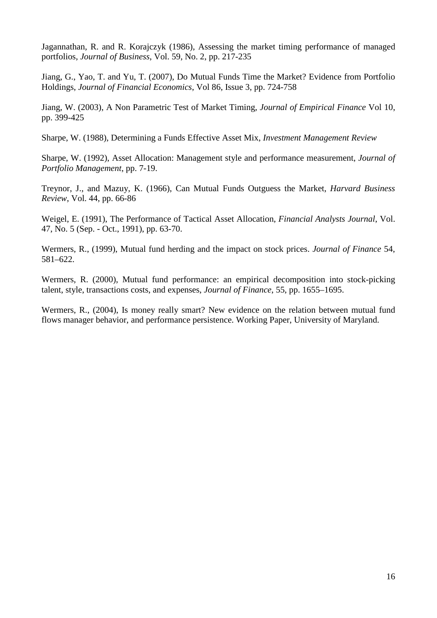Jagannathan, R. and R. Korajczyk (1986), Assessing the market timing performance of managed portfolios, *Journal of Business*, Vol. 59, No. 2, pp. 217-235

Jiang, G., Yao, T. and Yu, T. (2007), Do Mutual Funds Time the Market? Evidence from Portfolio Holdings, *[Journal of Financial Economics](http://www.sciencedirect.com/science/journal/0304405X)*, [Vol 86, Issue 3,](http://www.sciencedirect.com/science?_ob=PublicationURL&_tockey=%23TOC%235938%232007%23999139996%23674706%23FLA%23&_cdi=5938&_pubType=J&view=c&_auth=y&_acct=C000050221&_version=1&_urlVersion=0&_userid=10&md5=85c947380e9e7e6de3ca0aec74fa4bae) pp. 724-758

Jiang, W. (2003), A Non Parametric Test of Market Timing, *Journal of Empirical Finance* Vol 10, pp. 399-425

Sharpe, W. (1988), Determining a Funds Effective Asset Mix, *Investment Management Review*

Sharpe, W. (1992), Asset Allocation: Management style and performance measurement, *Journal of Portfolio Management*, pp. 7-19.

Treynor, J., and Mazuy, K. (1966), Can Mutual Funds Outguess the Market, *Harvard Business Review*, Vol. 44, pp. 66-86

Weigel, E. (1991), The Performance of Tactical Asset Allocation, *Financial Analysts Journal*, Vol. 47, No. 5 (Sep. - Oct., 1991), pp. 63-70.

Wermers, R., (1999), Mutual fund herding and the impact on stock prices. *Journal of Finance* 54, 581–622.

Wermers, R. (2000), Mutual fund performance: an empirical decomposition into stock-picking talent, style, transactions costs, and expenses, *Journal of Finance*, 55, pp. 1655–1695.

Wermers, R., (2004), Is money really smart? New evidence on the relation between mutual fund flows manager behavior, and performance persistence. Working Paper, University of Maryland.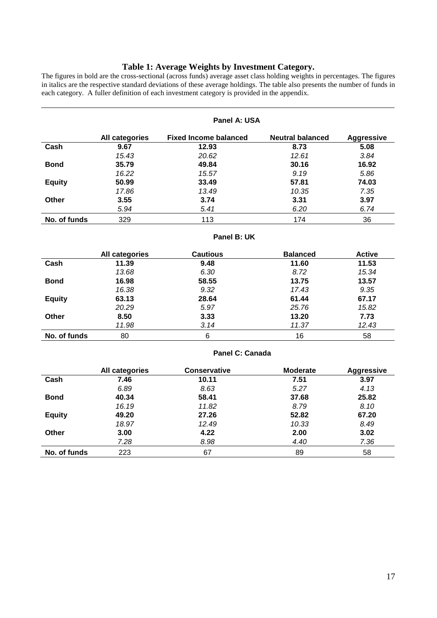#### **Table 1: Average Weights by Investment Category.**

The figures in bold are the cross-sectional (across funds) average asset class holding weights in percentages. The figures in italics are the respective standard deviations of these average holdings. The table also presents the number of funds in each category. A fuller definition of each investment category is provided in the appendix.

|               |                | Panel A: USA                 |                         |                   |
|---------------|----------------|------------------------------|-------------------------|-------------------|
|               | All categories | <b>Fixed Income balanced</b> | <b>Neutral balanced</b> | <b>Aggressive</b> |
| Cash          | 9.67           | 12.93                        | 8.73                    | 5.08              |
|               | 15.43          | 20.62                        | 12.61                   | 3.84              |
| <b>Bond</b>   | 35.79          | 49.84                        | 30.16                   | 16.92             |
|               | 16.22          | 15.57                        | 9.19                    | 5.86              |
| <b>Equity</b> | 50.99          | 33.49                        | 57.81                   | 74.03             |
|               | 17.86          | 13.49                        | 10.35                   | 7.35              |
| <b>Other</b>  | 3.55           | 3.74                         | 3.31                    | 3.97              |
|               | 5.94           | 5.41                         | 6.20                    | 6.74              |
| No. of funds  | 329            | 113                          | 174                     | 36                |
|               |                | Panel B: UK                  |                         |                   |
|               | All categories | <b>Cautious</b>              | <b>Balanced</b>         | <b>Active</b>     |
| Cash          | 11.39          | 9.48                         | 11.60                   | 11.53             |
|               | 13.68          | 6.30                         | 8.72                    | 15.34             |
| <b>Bond</b>   | 16.98          | 58.55                        | 13.75                   | 13.57             |
|               | 16.38          | 9.32                         | 17.43                   | 9.35              |
| <b>Equity</b> | 63.13          | 28.64                        | 61.44                   | 67.17             |
|               | 20.29          | 5.97                         | 25.76                   | 15.82             |
| Other         | 8.50           | 3.33                         | 13.20                   | 7.73              |
|               | 11.98          | 3.14                         | 11.37                   | 12.43             |
| No. of funds  | 80             | $\,6$                        | 16                      | 58                |
|               |                | <b>Panel C: Canada</b>       |                         |                   |
|               | All categories | <b>Conservative</b>          | <b>Moderate</b>         | <b>Aggressive</b> |
| Cash          | 7.46           | 10.11                        | 7.51                    | 3.97              |
|               | 6.89           | 8.63                         | 5.27                    | 4.13              |
| <b>Bond</b>   | 40.34          | 58.41                        | 37.68                   | 25.82             |
|               | 16.19          | 11.82                        | 8.79                    | 8.10              |
| <b>Equity</b> | 49.20          | 27.26                        | 52.82                   | 67.20             |
|               | 18.97          | 12.49                        | 10.33                   | 8.49              |
| <b>Other</b>  | 3.00           | 4.22                         | 2.00                    | 3.02              |

*7.28 8.98 4.40 7.36*

**No. of funds** 223 67 89 58

# 17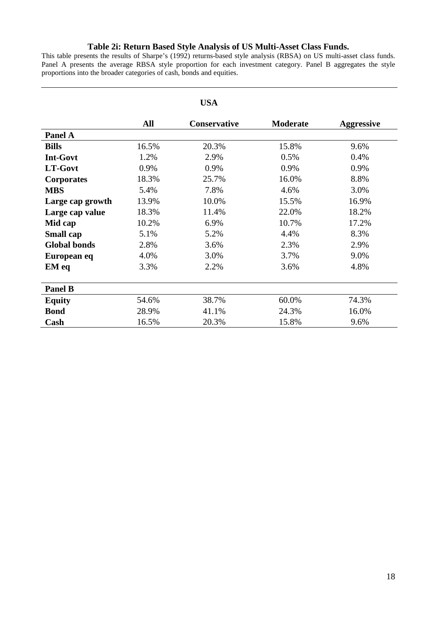#### **Table 2i: Return Based Style Analysis of US Multi-Asset Class Funds.**

This table presents the results of Sharpe's (1992) returns-based style analysis (RBSA) on US multi-asset class funds. Panel A presents the average RBSA style proportion for each investment category. Panel B aggregates the style proportions into the broader categories of cash, bonds and equities.

|                     |       | U5A                 |                 |                   |
|---------------------|-------|---------------------|-----------------|-------------------|
|                     | All   | <b>Conservative</b> | <b>Moderate</b> | <b>Aggressive</b> |
| Panel A             |       |                     |                 |                   |
| <b>Bills</b>        | 16.5% | 20.3%               | 15.8%           | 9.6%              |
| <b>Int-Govt</b>     | 1.2%  | 2.9%                | 0.5%            | 0.4%              |
| LT-Govt             | 0.9%  | 0.9%                | 0.9%            | 0.9%              |
| <b>Corporates</b>   | 18.3% | 25.7%               | 16.0%           | 8.8%              |
| <b>MBS</b>          | 5.4%  | 7.8%                | 4.6%            | 3.0%              |
| Large cap growth    | 13.9% | 10.0%               | 15.5%           | 16.9%             |
| Large cap value     | 18.3% | 11.4%               | 22.0%           | 18.2%             |
| Mid cap             | 10.2% | 6.9%                | 10.7%           | 17.2%             |
| Small cap           | 5.1%  | 5.2%                | 4.4%            | 8.3%              |
| <b>Global bonds</b> | 2.8%  | 3.6%                | 2.3%            | 2.9%              |
| European eq         | 4.0%  | 3.0%                | 3.7%            | 9.0%              |
| <b>EM</b> eq        | 3.3%  | 2.2%                | 3.6%            | 4.8%              |
| <b>Panel B</b>      |       |                     |                 |                   |
| <b>Equity</b>       | 54.6% | 38.7%               | 60.0%           | 74.3%             |
| <b>Bond</b>         | 28.9% | 41.1%               | 24.3%           | 16.0%             |
| Cash                | 16.5% | 20.3%               | 15.8%           | 9.6%              |

# **USA**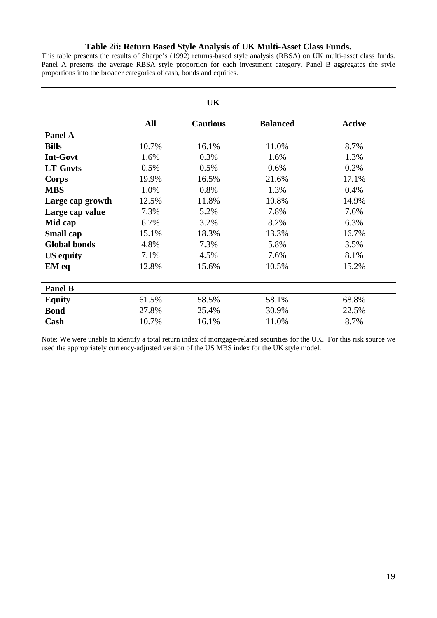# **Table 2ii: Return Based Style Analysis of UK Multi-Asset Class Funds.**

This table presents the results of Sharpe's (1992) returns-based style analysis (RBSA) on UK multi-asset class funds. Panel A presents the average RBSA style proportion for each investment category. Panel B aggregates the style proportions into the broader categories of cash, bonds and equities.

|                     |       | UK              |                 |               |
|---------------------|-------|-----------------|-----------------|---------------|
|                     | All   | <b>Cautious</b> | <b>Balanced</b> | <b>Active</b> |
| Panel A             |       |                 |                 |               |
| <b>Bills</b>        | 10.7% | 16.1%           | 11.0%           | 8.7%          |
| <b>Int-Govt</b>     | 1.6%  | 0.3%            | 1.6%            | 1.3%          |
| <b>LT-Govts</b>     | 0.5%  | 0.5%            | 0.6%            | 0.2%          |
| Corps               | 19.9% | 16.5%           | 21.6%           | 17.1%         |
| <b>MBS</b>          | 1.0%  | 0.8%            | 1.3%            | 0.4%          |
| Large cap growth    | 12.5% | 11.8%           | 10.8%           | 14.9%         |
| Large cap value     | 7.3%  | 5.2%            | 7.8%            | 7.6%          |
| Mid cap             | 6.7%  | 3.2%            | 8.2%            | 6.3%          |
| Small cap           | 15.1% | 18.3%           | 13.3%           | 16.7%         |
| <b>Global bonds</b> | 4.8%  | 7.3%            | 5.8%            | 3.5%          |
| <b>US</b> equity    | 7.1%  | 4.5%            | 7.6%            | 8.1%          |
| <b>EM</b> eq        | 12.8% | 15.6%           | 10.5%           | 15.2%         |
| <b>Panel B</b>      |       |                 |                 |               |
| <b>Equity</b>       | 61.5% | 58.5%           | 58.1%           | 68.8%         |
| <b>Bond</b>         | 27.8% | 25.4%           | 30.9%           | 22.5%         |
| Cash                | 10.7% | 16.1%           | 11.0%           | 8.7%          |

Note: We were unable to identify a total return index of mortgage-related securities for the UK. For this risk source we used the appropriately currency-adjusted version of the US MBS index for the UK style model.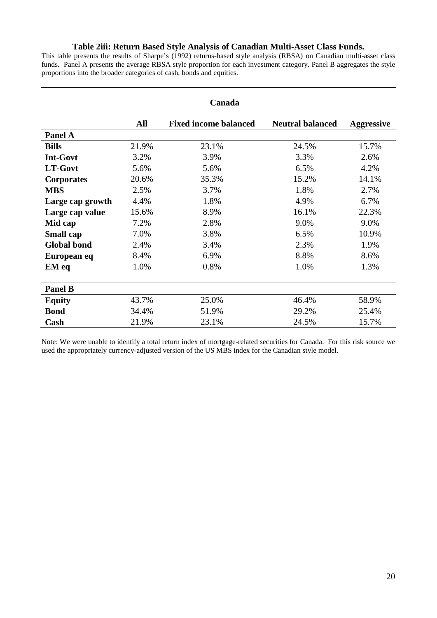# **Table 2iii: Return Based Style Analysis of Canadian Multi-Asset Class Funds.**

This table presents the results of Sharpe's (1992) returns-based style analysis (RBSA) on Canadian multi-asset class funds. Panel A presents the average RBSA style proportion for each investment category. Panel B aggregates the style proportions into the broader categories of cash, bonds and equities.

|                    |       | Canada                       |                         |                   |
|--------------------|-------|------------------------------|-------------------------|-------------------|
|                    | All   | <b>Fixed income balanced</b> | <b>Neutral balanced</b> | <b>Aggressive</b> |
| Panel A            |       |                              |                         |                   |
| <b>Bills</b>       | 21.9% | 23.1%                        | 24.5%                   | 15.7%             |
| <b>Int-Govt</b>    | 3.2%  | 3.9%                         | 3.3%                    | 2.6%              |
| LT-Govt            | 5.6%  | 5.6%                         | 6.5%                    | 4.2%              |
| <b>Corporates</b>  | 20.6% | 35.3%                        | 15.2%                   | 14.1%             |
| <b>MBS</b>         | 2.5%  | 3.7%                         | 1.8%                    | 2.7%              |
| Large cap growth   | 4.4%  | 1.8%                         | 4.9%                    | 6.7%              |
| Large cap value    | 15.6% | 8.9%                         | 16.1%                   | 22.3%             |
| Mid cap            | 7.2%  | 2.8%                         | 9.0%                    | 9.0%              |
| Small cap          | 7.0%  | 3.8%                         | 6.5%                    | 10.9%             |
| <b>Global bond</b> | 2.4%  | 3.4%                         | 2.3%                    | 1.9%              |
| European eq        | 8.4%  | 6.9%                         | 8.8%                    | 8.6%              |
| <b>EM</b> eq       | 1.0%  | 0.8%                         | 1.0%                    | 1.3%              |
| <b>Panel B</b>     |       |                              |                         |                   |
| <b>Equity</b>      | 43.7% | 25.0%                        | 46.4%                   | 58.9%             |
| <b>Bond</b>        | 34.4% | 51.9%                        | 29.2%                   | 25.4%             |
| Cash               | 21.9% | 23.1%                        | 24.5%                   | 15.7%             |

Note: We were unable to identify a total return index of mortgage-related securities for Canada. For this risk source we used the appropriately currency-adjusted version of the US MBS index for the Canadian style model.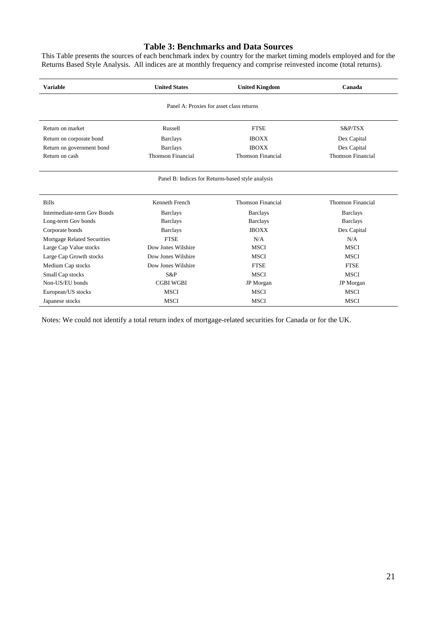# **Table 3: Benchmarks and Data Sources**

This Table presents the sources of each benchmark index by country for the market timing models employed and for the Returns Based Style Analysis. All indices are at monthly frequency and comprise reinvested income (total returns).

| <b>Variable</b>                    | <b>United States</b>                              | <b>United Kingdom</b>    | Canada                   |
|------------------------------------|---------------------------------------------------|--------------------------|--------------------------|
|                                    | Panel A: Proxies for asset class returns          |                          |                          |
| Return on market                   | Russell                                           | <b>FTSE</b>              | S&P/TSX                  |
| Return on corporate bond           | <b>Barclays</b>                                   | <b>IBOXX</b>             | Dex Capital              |
| Return on government bond          | <b>Barclays</b>                                   | <b>IBOXX</b>             | Dex Capital              |
| Return on cash                     | Thomson Financial                                 | <b>Thomson Financial</b> | <b>Thomson Financial</b> |
|                                    | Panel B: Indices for Returns-based style analysis |                          |                          |
| <b>Bills</b>                       | Kenneth French                                    | <b>Thomson Financial</b> | <b>Thomson Financial</b> |
| Intermediate-term Gov Bonds        | <b>Barclays</b>                                   | <b>Barclays</b>          | <b>Barclays</b>          |
| Long-term Gov bonds                | <b>Barclays</b>                                   | <b>Barclays</b>          | <b>Barclays</b>          |
| Corporate bonds                    | <b>Barclays</b>                                   | <b>IBOXX</b>             | Dex Capital              |
| <b>Mortgage Related Securities</b> | <b>FTSE</b>                                       | N/A                      | N/A                      |
| Large Cap Value stocks             | Dow Jones Wilshire                                | <b>MSCI</b>              | <b>MSCI</b>              |
| Large Cap Growth stocks            | Dow Jones Wilshire                                | <b>MSCI</b>              | <b>MSCI</b>              |
| Medium Cap stocks                  | Dow Jones Wilshire                                | <b>FTSE</b>              | <b>FTSE</b>              |
| Small Cap stocks                   | S&P                                               | <b>MSCI</b>              | <b>MSCI</b>              |
| Non-US/EU bonds                    | <b>CGBI WGBI</b>                                  | JP Morgan                | JP Morgan                |
| European/US stocks                 | <b>MSCI</b>                                       | <b>MSCI</b>              | <b>MSCI</b>              |
| Japanese stocks                    | <b>MSCI</b>                                       | <b>MSCI</b>              | <b>MSCI</b>              |

Notes: We could not identify a total return index of mortgage-related securities for Canada or for the UK.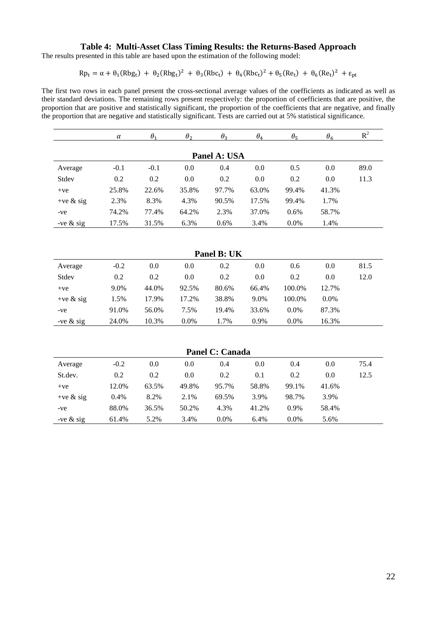#### **Table 4: Multi-Asset Class Timing Results: the Returns-Based Approach**

The results presented in this table are based upon the estimation of the following model:

$$
Rp_{t} = \alpha + \theta_{1}(Rbg_{t}) + \theta_{2}(Rbg_{t})^{2} + \theta_{3}(Rbc_{t}) + \theta_{4}(Rbc_{t})^{2} + \theta_{5}(Re_{t}) + \theta_{6}(Re_{t})^{2} + \varepsilon_{pt}
$$

The first two rows in each panel present the cross-sectional average values of the coefficients as indicated as well as their standard deviations. The remaining rows present respectively: the proportion of coefficients that are positive, the proportion that are positive and statistically significant, the proportion of the coefficients that are negative, and finally the proportion that are negative and statistically significant. Tests are carried out at 5% statistical significance.

|              | α      | $\theta_{1}$ | $\theta$ , | $\theta_3$   | $\theta_{4}$ | $\theta_{5}$ | $\theta_{6}$ | $R^2$ |
|--------------|--------|--------------|------------|--------------|--------------|--------------|--------------|-------|
|              |        |              |            |              |              |              |              |       |
|              |        |              |            | Panel A: USA |              |              |              |       |
| Average      | $-0.1$ | $-0.1$       | 0.0        | 0.4          | 0.0          | 0.5          | 0.0          | 89.0  |
| Stdev        | 0.2    | 0.2          | 0.0        | 0.2          | 0.0          | 0.2          | 0.0          | 11.3  |
| $+ve$        | 25.8%  | 22.6%        | 35.8%      | 97.7%        | 63.0%        | 99.4%        | 41.3%        |       |
| +ve $\&$ sig | 2.3%   | 8.3%         | 4.3%       | 90.5%        | 17.5%        | 99.4%        | 1.7%         |       |
| $-ve$        | 74.2%  | 77.4%        | 64.2%      | 2.3%         | 37.0%        | 0.6%         | 58.7%        |       |
| -ve $&$ sig  | 17.5%  | 31.5%        | 6.3%       | $0.6\%$      | 3.4%         | $0.0\%$      | 1.4%         |       |

|              |        |       |         | Panel B: UK |       |         |         |      |
|--------------|--------|-------|---------|-------------|-------|---------|---------|------|
| Average      | $-0.2$ | 0.0   | 0.0     | 0.2         | 0.0   | 0.6     | 0.0     | 81.5 |
| Stdev        | 0.2    | 0.2   | 0.0     | 0.2         | 0.0   | 0.2     | 0.0     | 12.0 |
| $+ve$        | 9.0%   | 44.0% | 92.5%   | 80.6%       | 66.4% | 100.0%  | 12.7%   |      |
| +ve $\&$ sig | 1.5%   | 17.9% | 17.2%   | 38.8%       | 9.0%  | 100.0%  | $0.0\%$ |      |
| -ve          | 91.0%  | 56.0% | 7.5%    | 19.4%       | 33.6% | $0.0\%$ | 87.3%   |      |
| -ve $&$ sig  | 24.0%  | 10.3% | $0.0\%$ | 1.7%        | 0.9%  | $0.0\%$ | 16.3%   |      |

|              |        |       |       | Panel C: Canada |       |         |       |      |
|--------------|--------|-------|-------|-----------------|-------|---------|-------|------|
| Average      | $-0.2$ | 0.0   | 0.0   | 0.4             | 0.0   | 0.4     | 0.0   | 75.4 |
| St.dev.      | 0.2    | 0.2   | 0.0   | 0.2             | 0.1   | 0.2     | 0.0   | 12.5 |
| $+ve$        | 12.0%  | 63.5% | 49.8% | 95.7%           | 58.8% | 99.1%   | 41.6% |      |
| +ve $\&$ sig | 0.4%   | 8.2%  | 2.1%  | 69.5%           | 3.9%  | 98.7%   | 3.9%  |      |
| -ve          | 88.0%  | 36.5% | 50.2% | 4.3%            | 41.2% | $0.9\%$ | 58.4% |      |
| -ve $\&$ sig | 61.4%  | 5.2%  | 3.4%  | $0.0\%$         | 6.4%  | $0.0\%$ | 5.6%  |      |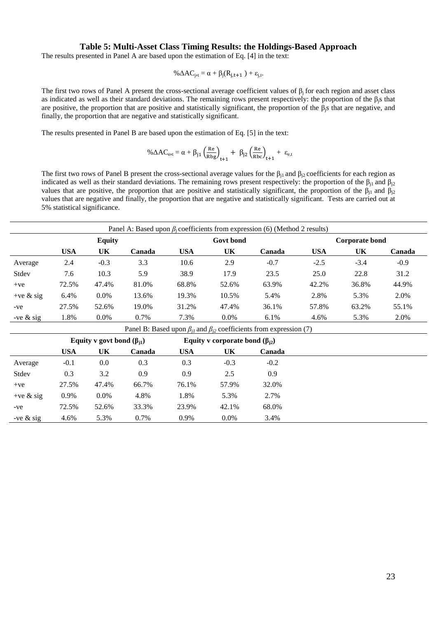#### **Table 5: Multi-Asset Class Timing Results: the Holdings-Based Approach**

The results presented in Panel A are based upon the estimation of Eq. [4] in the text:

$$
\% \Delta AC_{j\cdot t} = \alpha + \beta_j (R_{j,t+1}) + \epsilon_{j,t}.
$$

The first two rows of Panel A present the cross-sectional average coefficient values of  $\beta_j$  for each region and asset class as indicated as well as their standard deviations. The remaining rows present respectively: the proportion of the  $\beta_i$ s that are positive, the proportion that are positive and statistically significant, the proportion of the  $\beta_i$ s that are negative, and finally, the proportion that are negative and statistically significant.

The results presented in Panel B are based upon the estimation of Eq. [5] in the text:

$$
\% \Delta AC_{e_{2}t} = \alpha + \beta_{j1} \left(\frac{Re}{Rbg}\right)_{t+1} + \beta_{j2} \left(\frac{Re}{Rbc}\right)_{t+1} + \epsilon_{e,t}
$$

The first two rows of Panel B present the cross-sectional average values for the  $\beta_{i1}$  and  $\beta_{i2}$  coefficients for each region as indicated as well as their standard deviations. The remaining rows present respectively: the proportion of the  $\beta_{i1}$  and  $\beta_{i2}$ values that are positive, the proportion that are positive and statistically significant, the proportion of the  $\beta_{i1}$  and  $\beta_{i2}$ values that are negative and finally, the proportion that are negative and statistically significant. Tests are carried out at 5% statistical significance.

|              |            |               |        |            |           | Panel A: Based upon $\beta_i$ coefficients from expression (6) (Method 2 results)  |            |                |        |
|--------------|------------|---------------|--------|------------|-----------|------------------------------------------------------------------------------------|------------|----------------|--------|
|              |            | <b>Equity</b> |        |            | Govt bond |                                                                                    |            | Corporate bond |        |
|              | <b>USA</b> | UK            | Canada | <b>USA</b> | UK        | Canada                                                                             | <b>USA</b> | UK             | Canada |
| Average      | 2.4        | $-0.3$        | 3.3    | 10.6       | 2.9       | $-0.7$                                                                             | $-2.5$     | $-3.4$         | $-0.9$ |
| Stdev        | 7.6        | 10.3          | 5.9    | 38.9       | 17.9      | 23.5                                                                               | 25.0       | 22.8           | 31.2   |
| $+ve$        | 72.5%      | 47.4%         | 81.0%  | 68.8%      | 52.6%     | 63.9%                                                                              | 42.2%      | 36.8%          | 44.9%  |
| +ve $\&$ sig | 6.4%       | $0.0\%$       | 13.6%  | 19.3%      | 10.5%     | 5.4%                                                                               | 2.8%       | 5.3%           | 2.0%   |
| $-ve$        | 27.5%      | 52.6%         | 19.0%  | 31.2%      | 47.4%     | 36.1%                                                                              | 57.8%      | 63.2%          | 55.1%  |
| -ve $&$ sig  | 1.8%       | $0.0\%$       | 0.7%   | 7.3%       | $0.0\%$   | 6.1%                                                                               | 4.6%       | 5.3%           | 2.0%   |
|              |            |               |        |            |           | Panel B: Based upon $\beta_{ij}$ and $\beta_{ij}$ coefficients from expression (7) |            |                |        |

| Equity v govt bond $(\beta_{i1})$<br>Equity v corporate bond $(\beta_{i2})$<br><b>USA</b><br>UK<br><b>USA</b><br>UK<br>Canada<br>Canada<br>0.3<br>0.3<br>$-0.3$<br>0.0<br>$-0.2$<br>$-0.1$<br>Average<br>0.3<br>3.2<br>0.9<br>0.9<br>2.5<br>Stdev<br>0.9<br>66.7%<br>76.1%<br>57.9%<br>32.0%<br>27.5%<br>47.4%<br>$+ve$<br>$0.0\%$<br>4.8%<br>1.8%<br>0.9%<br>5.3%<br>2.7%<br>+ve $\&$ sig<br>33.3%<br>23.9%<br>42.1%<br>68.0%<br>72.5%<br>52.6%<br>-ve<br>5.3%<br>0.7%<br>0.9%<br>$0.0\%$<br>-ve $&$ sig<br>4.6%<br>3.4% |  |  |  | $1 - 11$ | $\sim$ $\sim$ $\sim$ |  |
|---------------------------------------------------------------------------------------------------------------------------------------------------------------------------------------------------------------------------------------------------------------------------------------------------------------------------------------------------------------------------------------------------------------------------------------------------------------------------------------------------------------------------|--|--|--|----------|----------------------|--|
|                                                                                                                                                                                                                                                                                                                                                                                                                                                                                                                           |  |  |  |          |                      |  |
|                                                                                                                                                                                                                                                                                                                                                                                                                                                                                                                           |  |  |  |          |                      |  |
|                                                                                                                                                                                                                                                                                                                                                                                                                                                                                                                           |  |  |  |          |                      |  |
|                                                                                                                                                                                                                                                                                                                                                                                                                                                                                                                           |  |  |  |          |                      |  |
|                                                                                                                                                                                                                                                                                                                                                                                                                                                                                                                           |  |  |  |          |                      |  |
|                                                                                                                                                                                                                                                                                                                                                                                                                                                                                                                           |  |  |  |          |                      |  |
|                                                                                                                                                                                                                                                                                                                                                                                                                                                                                                                           |  |  |  |          |                      |  |
|                                                                                                                                                                                                                                                                                                                                                                                                                                                                                                                           |  |  |  |          |                      |  |